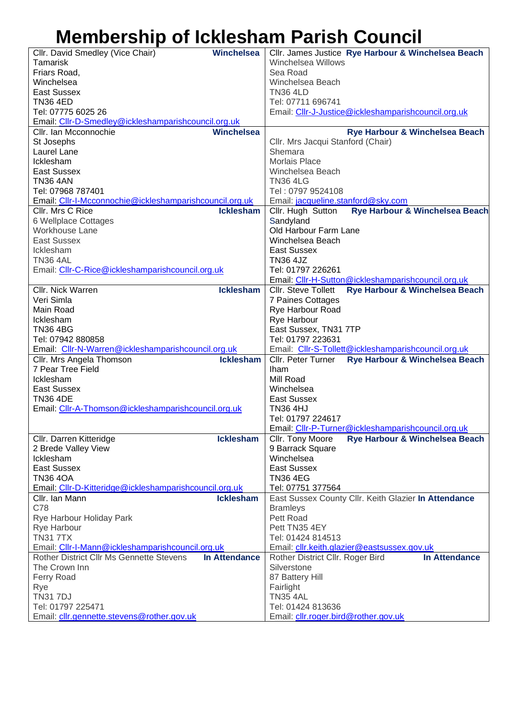## **Membership of Icklesham Parish Council**

| <b>Winchelsea</b><br>Cllr. David Smedley (Vice Chair)                       |      | Cllr. James Justice Rye Harbour & Winchelsea Beach           |  |
|-----------------------------------------------------------------------------|------|--------------------------------------------------------------|--|
| <b>Tamarisk</b>                                                             |      | Winchelsea Willows                                           |  |
| Friars Road,                                                                |      | Sea Road                                                     |  |
| Winchelsea                                                                  |      | Winchelsea Beach                                             |  |
| <b>East Sussex</b>                                                          |      | <b>TN36 4LD</b>                                              |  |
| <b>TN36 4ED</b>                                                             |      | Tel: 07711 696741                                            |  |
| Tel: 07775 6025 26                                                          |      | Email: Cllr-J-Justice@ickleshamparishcouncil.org.uk          |  |
| Email: Cllr-D-Smedley@ickleshamparishcouncil.org.uk                         |      |                                                              |  |
| <b>Winchelsea</b><br>Cllr. Ian Mcconnochie                                  |      | Rye Harbour & Winchelsea Beach                               |  |
| St Josephs                                                                  |      | Cllr. Mrs Jacqui Stanford (Chair)                            |  |
| Laurel Lane                                                                 |      | Shemara                                                      |  |
| Icklesham                                                                   |      | <b>Morlais Place</b>                                         |  |
| East Sussex                                                                 |      | Winchelsea Beach                                             |  |
| <b>TN36 4AN</b>                                                             |      | <b>TN36 4LG</b>                                              |  |
| Tel: 07968 787401                                                           |      | Tel: 0797 9524108                                            |  |
| Email: Cllr-I-Mcconnochie@ickleshamparishcouncil.org.uk<br>CIIr. Mrs C Rice |      | Email: jacqueline.stanford@sky.com                           |  |
| <b>Icklesham</b>                                                            |      | Rye Harbour & Winchelsea Beach<br>Cllr. Hugh Sutton          |  |
| 6 Wellplace Cottages<br>Workhouse Lane                                      |      | Sandyland<br>Old Harbour Farm Lane                           |  |
| <b>East Sussex</b>                                                          |      | Winchelsea Beach                                             |  |
| Icklesham                                                                   |      | East Sussex                                                  |  |
| <b>TN36 4AL</b>                                                             |      | <b>TN36 4JZ</b>                                              |  |
| Email: Cllr-C-Rice@ickleshamparishcouncil.org.uk                            |      | Tel: 01797 226261                                            |  |
|                                                                             |      | Email: Cllr-H-Sutton@ickleshamparishcouncil.org.uk           |  |
| Cllr. Nick Warren<br><b>Icklesham</b>                                       |      | Rye Harbour & Winchelsea Beach<br><b>Cllr.</b> Steve Tollett |  |
| Veri Simla                                                                  |      | 7 Paines Cottages                                            |  |
| Main Road                                                                   |      | Rye Harbour Road                                             |  |
| Icklesham                                                                   |      | Rye Harbour                                                  |  |
| <b>TN36 4BG</b>                                                             |      | East Sussex, TN31 7TP                                        |  |
| Tel: 07942 880858                                                           |      | Tel: 01797 223631                                            |  |
| Email: Cllr-N-Warren@ickleshamparishcouncil.org.uk                          |      | Email: Cllr-S-Tollett@ickleshamparishcouncil.org.uk          |  |
| <b>Icklesham</b><br>Cllr. Mrs Angela Thomson                                |      | Cllr. Peter Turner<br>Rye Harbour & Winchelsea Beach         |  |
| 7 Pear Tree Field                                                           | Iham |                                                              |  |
| Icklesham                                                                   |      | Mill Road                                                    |  |
| <b>East Sussex</b>                                                          |      | Winchelsea                                                   |  |
| <b>TN36 4DE</b>                                                             |      | <b>East Sussex</b>                                           |  |
| Email: Cllr-A-Thomson@ickleshamparishcouncil.org.uk                         |      | <b>TN36 4HJ</b>                                              |  |
|                                                                             |      | Tel: 01797 224617                                            |  |
|                                                                             |      | Email: Cllr-P-Turner@ickleshamparishcouncil.org.uk           |  |
| <b>Icklesham</b><br>Cllr. Darren Kitteridge                                 |      | Cllr. Tony Moore<br>Rye Harbour & Winchelsea Beach           |  |
| 2 Brede Valley View                                                         |      | 9 Barrack Square                                             |  |
| Icklesham                                                                   |      | Winchelsea                                                   |  |
| <b>East Sussex</b>                                                          |      | <b>East Sussex</b>                                           |  |
| <b>TN36 4OA</b>                                                             |      | <b>TN36 4EG</b>                                              |  |
| Email: Cllr-D-Kitteridge@ickleshamparishcouncil.org.uk                      |      | Tel: 07751 377564                                            |  |
| <b>Icklesham</b><br>Cllr. Ian Mann                                          |      | East Sussex County Cllr. Keith Glazier In Attendance         |  |
| C78                                                                         |      | <b>Bramleys</b><br>Pett Road                                 |  |
| Rye Harbour Holiday Park                                                    |      | Pett TN35 4EY                                                |  |
| Rye Harbour<br><b>TN317TX</b>                                               |      | Tel: 01424 814513                                            |  |
| Email: Cllr-I-Mann@ickleshamparishcouncil.org.uk                            |      | Email: cllr.keith.glazier@eastsussex.gov.uk                  |  |
| In Attendance<br>Rother District Cllr Ms Gennette Stevens                   |      | <b>In Attendance</b><br>Rother District Cllr. Roger Bird     |  |
| The Crown Inn                                                               |      | Silverstone                                                  |  |
| <b>Ferry Road</b>                                                           |      | 87 Battery Hill                                              |  |
| Rye                                                                         |      | Fairlight                                                    |  |
| <b>TN31 7DJ</b>                                                             |      | <b>TN35 4AL</b>                                              |  |
| Tel: 01797 225471                                                           |      | Tel: 01424 813636                                            |  |
| Email: cllr.gennette.stevens@rother.gov.uk                                  |      | Email: cllr.roger.bird@rother.gov.uk                         |  |